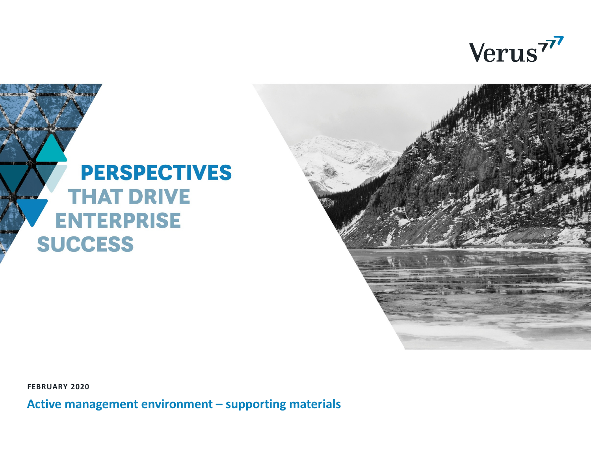Verus<sup>77</sup>

#### **PERSPECTIVES THAT DRIVE ENTERPRISE SUCCESS**

**FEBRUARY 2020**

**Active management environment – supporting materials**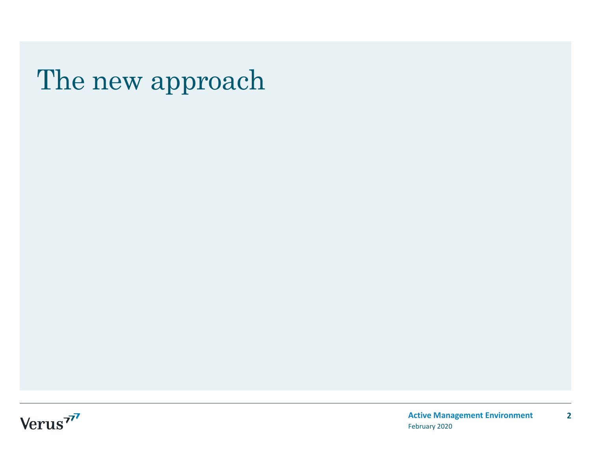#### The new approach

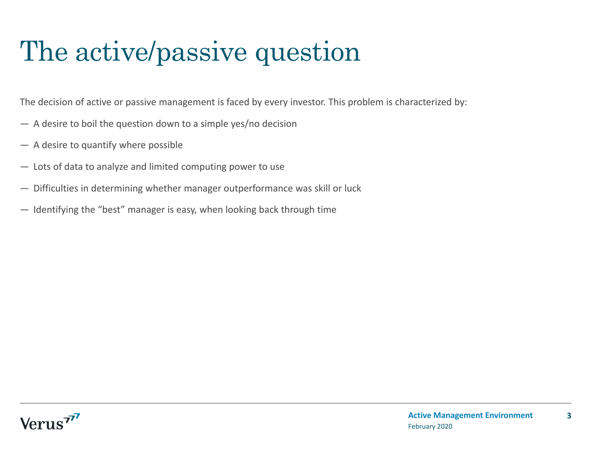### The active/passive question

The decision of active or passive management is faced by every investor. This problem is characterized by:

- A desire to boil the question down to a simple yes/no decision
- A desire to quantify where possible
- Lots of data to analyze and limited computing power to use
- Difficulties in determining whether manager outperformance was skill or luck
- Identifying the "best" manager is easy, when looking back through time

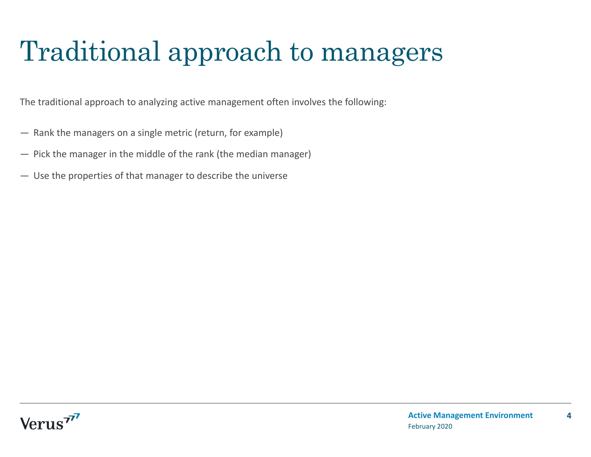# Traditional approach to managers

The traditional approach to analyzing active management often involves the following:

- Rank the managers on a single metric (return, for example)
- Pick the manager in the middle of the rank (the median manager)
- Use the properties of that manager to describe the universe

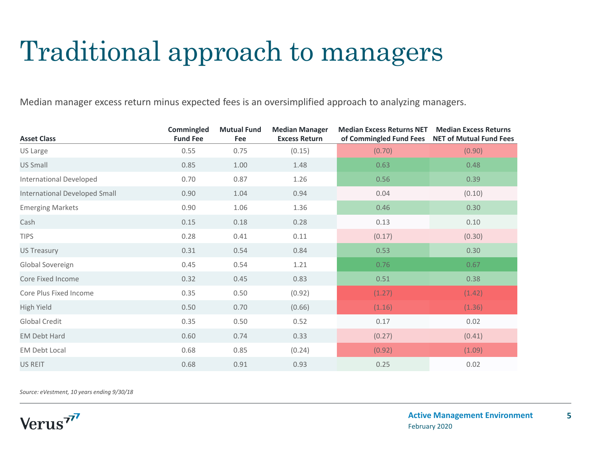## Traditional approach to managers

Median manager excess return minus expected fees is an oversimplified approach to analyzing managers.

| <b>Asset Class</b>             | Commingled<br><b>Fund Fee</b> | <b>Mutual Fund</b><br>Fee | <b>Median Manager</b><br><b>Excess Return</b> | <b>Median Excess Returns NET</b><br>of Commingled Fund Fees | <b>Median Excess Returns</b><br><b>NET of Mutual Fund Fees</b> |
|--------------------------------|-------------------------------|---------------------------|-----------------------------------------------|-------------------------------------------------------------|----------------------------------------------------------------|
| US Large                       | 0.55                          | 0.75                      | (0.15)                                        | (0.70)                                                      | (0.90)                                                         |
| <b>US Small</b>                | 0.85                          | 1.00                      | 1.48                                          | 0.63                                                        | 0.48                                                           |
| <b>International Developed</b> | 0.70                          | 0.87                      | 1.26                                          | 0.56                                                        | 0.39                                                           |
| International Developed Small  | 0.90                          | 1.04                      | 0.94                                          | 0.04                                                        | (0.10)                                                         |
| <b>Emerging Markets</b>        | 0.90                          | 1.06                      | 1.36                                          | 0.46                                                        | 0.30                                                           |
| Cash                           | 0.15                          | 0.18                      | 0.28                                          | 0.13                                                        | 0.10                                                           |
| <b>TIPS</b>                    | 0.28                          | 0.41                      | 0.11                                          | (0.17)                                                      | (0.30)                                                         |
| <b>US Treasury</b>             | 0.31                          | 0.54                      | 0.84                                          | 0.53                                                        | 0.30                                                           |
| Global Sovereign               | 0.45                          | 0.54                      | 1.21                                          | 0.76                                                        | 0.67                                                           |
| Core Fixed Income              | 0.32                          | 0.45                      | 0.83                                          | 0.51                                                        | 0.38                                                           |
| Core Plus Fixed Income         | 0.35                          | 0.50                      | (0.92)                                        | (1.27)                                                      | (1.42)                                                         |
| <b>High Yield</b>              | 0.50                          | 0.70                      | (0.66)                                        | (1.16)                                                      | (1.36)                                                         |
| Global Credit                  | 0.35                          | 0.50                      | 0.52                                          | 0.17                                                        | 0.02                                                           |
| <b>EM Debt Hard</b>            | 0.60                          | 0.74                      | 0.33                                          | (0.27)                                                      | (0.41)                                                         |
| <b>EM Debt Local</b>           | 0.68                          | 0.85                      | (0.24)                                        | (0.92)                                                      | (1.09)                                                         |
| <b>US REIT</b>                 | 0.68                          | 0.91                      | 0.93                                          | 0.25                                                        | 0.02                                                           |

*Source: eVestment, 10 years ending 9/30/18*

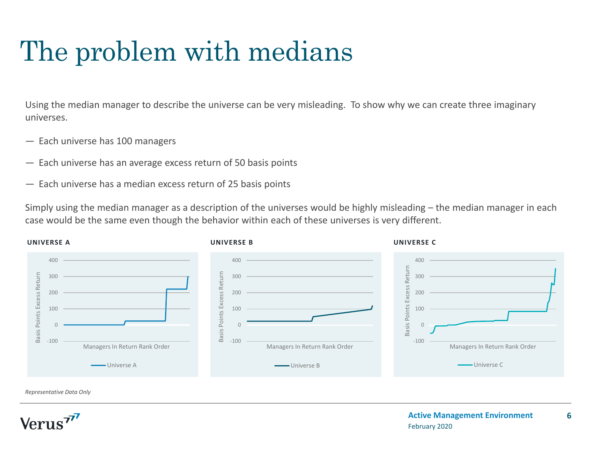# The problem with medians

Using the median manager to describe the universe can be very misleading. To show why we can create three imaginary universes.

- Each universe has 100 managers
- Each universe has an average excess return of 50 basis points
- Each universe has a median excess return of 25 basis points

Simply using the median manager as a description of the universes would be highly misleading – the median manager in each case would be the same even though the behavior within each of these universes is very different.



*Representative Data Only* 

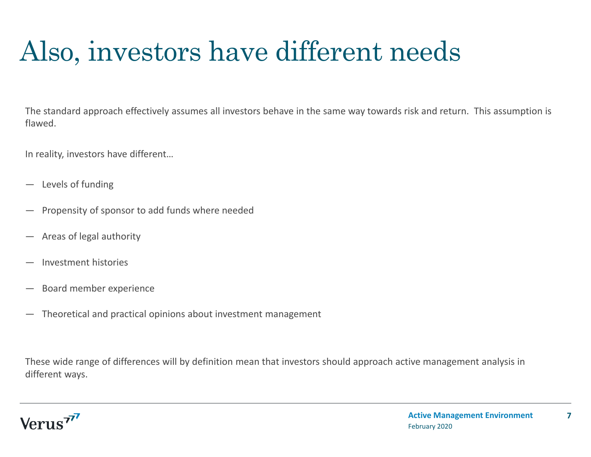# Also, investors have different needs

The standard approach effectively assumes all investors behave in the same way towards risk and return. This assumption is flawed.

In reality, investors have different…

- —Levels of funding
- $\overline{\phantom{0}}$ Propensity of sponsor to add funds where needed
- $\overline{\phantom{0}}$ Areas of legal authority
- $\overline{\phantom{0}}$ Investment histories
- —Board member experience
- —Theoretical and practical opinions about investment management

These wide range of differences will by definition mean that investors should approach active management analysis in different ways.

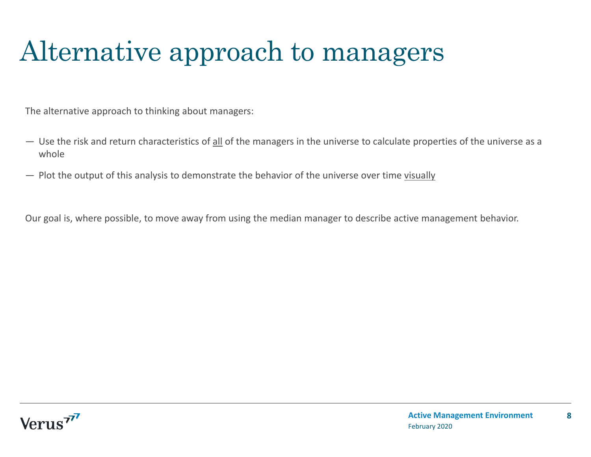# Alternative approach to managers

The alternative approach to thinking about managers:

- Use the risk and return characteristics of all of the managers in the universe to calculate properties of the universe as a whole
- $-$  Plot the output of this analysis to demonstrate the behavior of the universe over time visually

Our goal is, where possible, to move away from using the median manager to describe active management behavior.

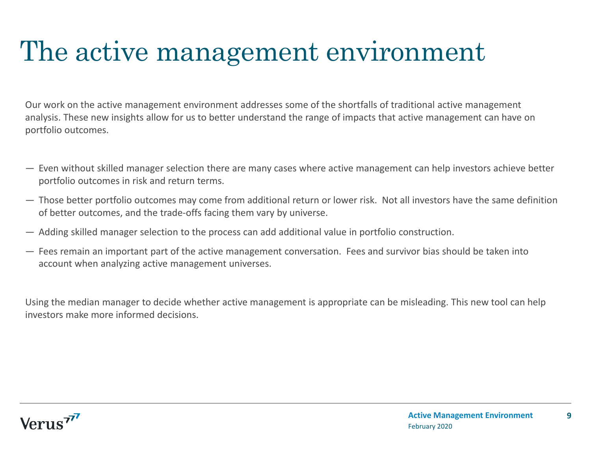#### The active management environment

Our work on the active management environment addresses some of the shortfalls of traditional active management analysis. These new insights allow for us to better understand the range of impacts that active management can have on portfolio outcomes.

- Even without skilled manager selection there are many cases where active management can help investors achieve better portfolio outcomes in risk and return terms.
- Those better portfolio outcomes may come from additional return or lower risk. Not all investors have the same definition of better outcomes, and the trade‐offs facing them vary by universe.
- Adding skilled manager selection to the process can add additional value in portfolio construction.
- Fees remain an important part of the active management conversation. Fees and survivor bias should be taken into account when analyzing active management universes.

Using the median manager to decide whether active management is appropriate can be misleading. This new tool can help investors make more informed decisions.

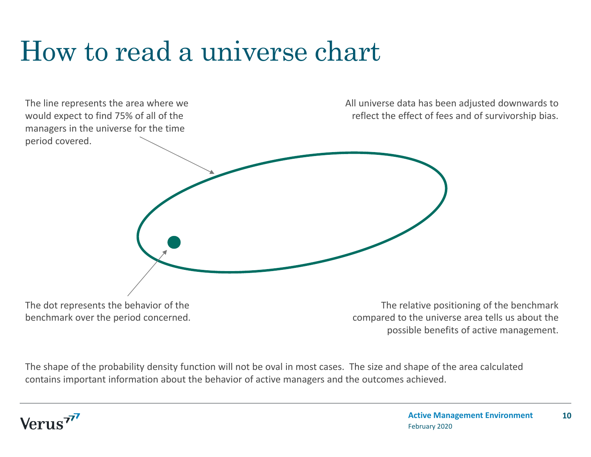### How to read a universe chart



benchmark over the period concerned.

The relative positioning of the benchmark compared to the universe area tells us about the possible benefits of active management.

The shape of the probability density function will not be oval in most cases. The size and shape of the area calculated contains important information about the behavior of active managers and the outcomes achieved.

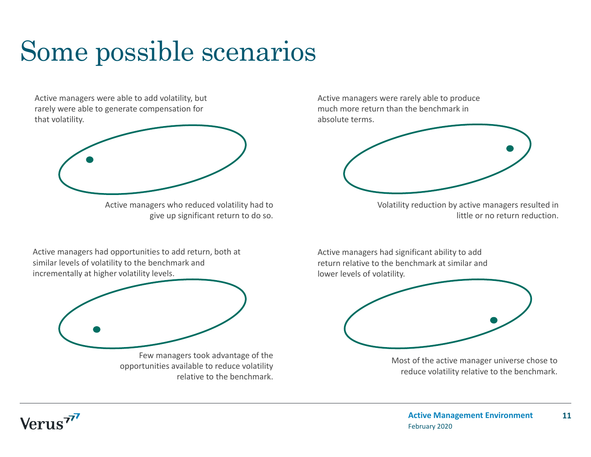# Some possible scenarios

Active managers were able to add volatility, but rarely were able to generate compensation for that volatility.



Active managers who reduced volatility had to give up significant return to do so.

Active managers had opportunities to add return, both at similar levels of volatility to the benchmark and incrementally at higher volatility levels.



opportunities available to reduce volatility relative to the benchmark. Active managers were rarely able to produce much more return than the benchmark in absolute terms.



Volatility reduction by active managers resulted in little or no return reduction.

Active managers had significant ability to add return relative to the benchmark at similar and lower levels of volatility.



Most of the active manager universe chose to reduce volatility relative to the benchmark.

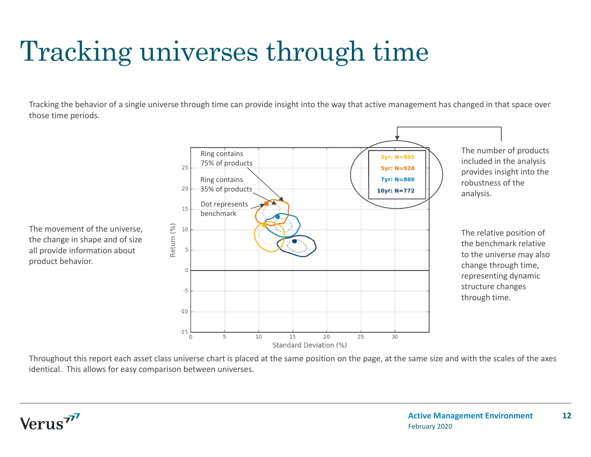# Tracking universes through time

Tracking the behavior of a single universe through time can provide insight into the way that active management has changed in that space over those time periods.

> Ring contains 3vr: N=993 75% of products 25 5yr: N=924 7yr: N=866 Ring contains 35% of products 20 10 $vr: N = 772$ Dot represents 15 benchmarkReturn (%) 10  $\overline{0}$  $-5$  $-10$  $-15$ 25 5 10 15 20 30  $\Omega$ Standard Deviation (%)

The number of products included in the analysis provides insight into the robustness of the analysis.

The relative position of the benchmark relative to the universe may also change through time, representing dynamic structure changes through time.

The movement of the universe, the change in shape and of size all provide information about product behavior.

Throughout this report each asset class universe chart is placed at the same position on the page, at the same size and with the scales of the axes identical. This allows for easy comparison between universes.

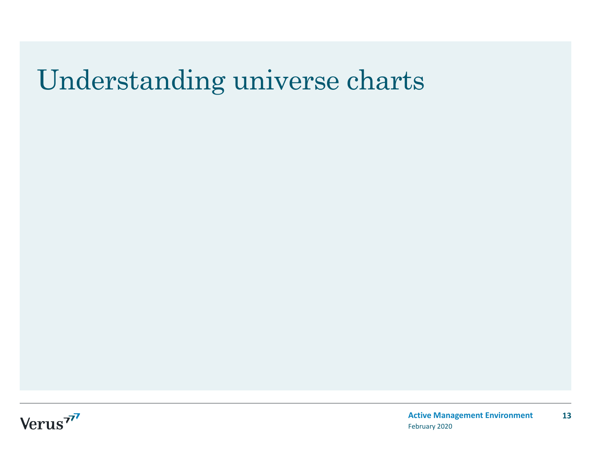#### Understanding universe charts

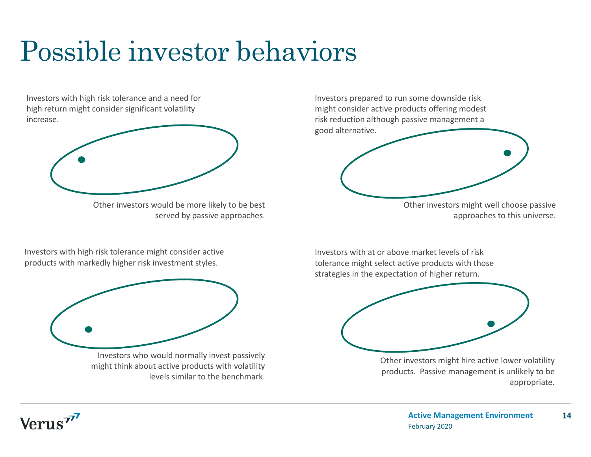# Possible investor behaviors

Investors with high risk tolerance and a need for high return might consider significant volatility increase.



Other investors would be more likely to be best served by passive approaches.

Investors with high risk tolerance might consider active products with markedly higher risk investment styles.



Investors who would normally invest passively might think about active products with volatility levels similar to the benchmark.

Investors prepared to run some downside risk might consider active products offering modest risk reduction although passive management a good alternative.



Other investors might well choose passive approaches to this universe.

Investors with at or above market levels of risk tolerance might select active products with those strategies in the expectation of higher return.



Other investors might hire active lower volatility products. Passive management is unlikely to be appropriate.

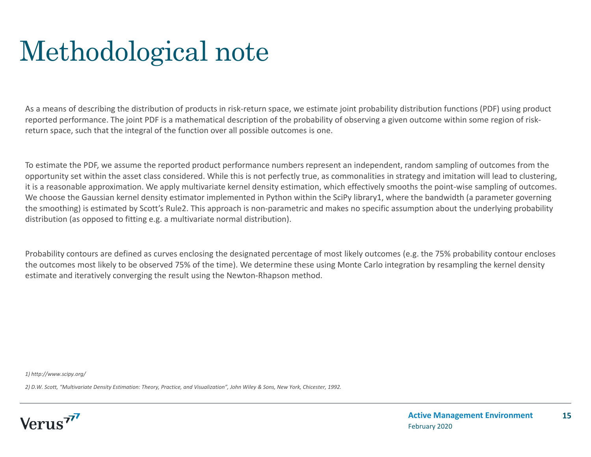### Methodological note

As a means of describing the distribution of products in risk‐return space, we estimate joint probability distribution functions (PDF) using product reported performance. The joint PDF is a mathematical description of the probability of observing a given outcome within some region of risk‐ return space, such that the integral of the function over all possible outcomes is one.

To estimate the PDF, we assume the reported product performance numbers represent an independent, random sampling of outcomes from the opportunity set within the asset class considered. While this is not perfectly true, as commonalities in strategy and imitation will lead to clustering, it is a reasonable approximation. We apply multivariate kernel density estimation, which effectively smooths the point‐wise sampling of outcomes. We choose the Gaussian kernel density estimator implemented in Python within the SciPy library1, where the bandwidth (a parameter governing the smoothing) is estimated by Scott's Rule2. This approach is non-parametric and makes no specific assumption about the underlying probability distribution (as opposed to fitting e.g. a multivariate normal distribution).

Probability contours are defined as curves enclosing the designated percentage of most likely outcomes (e.g. the 75% probability contour encloses the outcomes most likely to be observed 75% of the time). We determine these using Monte Carlo integration by resampling the kernel density estimate and iteratively converging the result using the Newton-Rhapson method.

*1) http://www.scipy.org/*

*2) D.W. Scott, "Multivariate Density Estimation: Theory, Practice, and Visualization", John Wiley & Sons, New York, Chicester, 1992.*